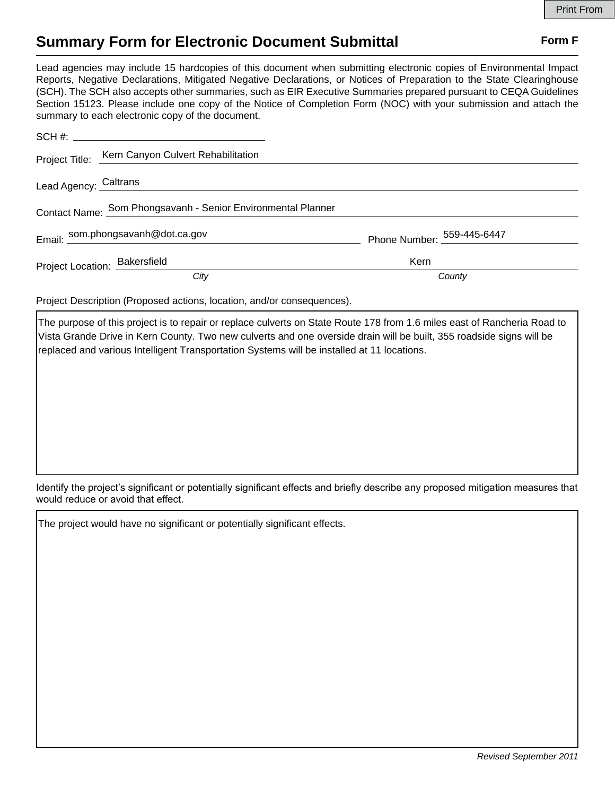## **Summary Form for Electronic Document Submittal Form F Form F**

Lead agencies may include 15 hardcopies of this document when submitting electronic copies of Environmental Impact Reports, Negative Declarations, Mitigated Negative Declarations, or Notices of Preparation to the State Clearinghouse (SCH). The SCH also accepts other summaries, such as EIR Executive Summaries prepared pursuant to CEQA Guidelines Section 15123. Please include one copy of the Notice of Completion Form (NOC) with your submission and attach the summary to each electronic copy of the document.

|                               | Project Title: Kern Canyon Culvert Rehabilitation            |                            |  |
|-------------------------------|--------------------------------------------------------------|----------------------------|--|
|                               | Lead Agency: Caltrans                                        |                            |  |
|                               | Contact Name: Som Phongsavanh - Senior Environmental Planner |                            |  |
|                               | Email: som.phongsavanh@dot.ca.gov                            | Phone Number: 559-445-6447 |  |
| Project Location: Bakersfield |                                                              | Kern                       |  |
|                               | City                                                         | County                     |  |

Project Description (Proposed actions, location, and/or consequences).

The purpose of this project is to repair or replace culverts on State Route 178 from 1.6 miles east of Rancheria Road to Vista Grande Drive in Kern County. Two new culverts and one overside drain will be built, 355 roadside signs will be replaced and various Intelligent Transportation Systems will be installed at 11 locations.

Identify the project's significant or potentially significant effects and briefly describe any proposed mitigation measures that would reduce or avoid that effect.

The project would have no significant or potentially significant effects.